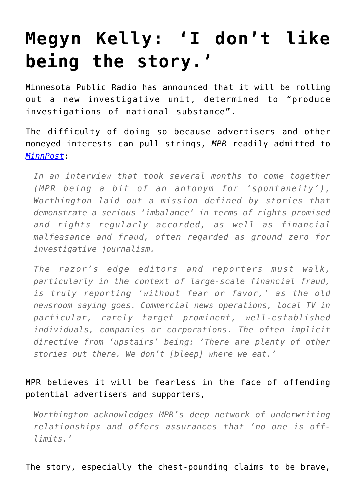## **[Megyn Kelly: 'I don't like](https://intellectualtakeout.org/2016/04/megyn-kelly-i-dont-like-being-the-story/) [being the story.'](https://intellectualtakeout.org/2016/04/megyn-kelly-i-dont-like-being-the-story/)**

Minnesota Public Radio has announced that it will be rolling out a new investigative unit, determined to "produce investigations of national substance".

The difficulty of doing so because advertisers and other moneyed interests can pull strings, *MPR* readily admitted to *[MinnPost](https://www.minnpost.com/media/2016/04/mpr-aims-go-big-investigative-unit-no-one-limits?utm_content=buffere375f&utm_medium=social&utm_source=facebook.com&utm_campaign=buffer)*:

*In an interview that took several months to come together (MPR being a bit of an antonym for 'spontaneity'), Worthington laid out a mission defined by stories that demonstrate a serious 'imbalance' in terms of rights promised and rights regularly accorded, as well as financial malfeasance and fraud, often regarded as ground zero for investigative journalism.* 

*The razor's edge editors and reporters must walk, particularly in the context of large-scale financial fraud, is truly reporting 'without fear or favor,' as the old newsroom saying goes. Commercial news operations, local TV in particular, rarely target prominent, well-established individuals, companies or corporations. The often implicit directive from 'upstairs' being: 'There are plenty of other stories out there. We don't [bleep] where we eat.'*

MPR believes it will be fearless in the face of offending potential advertisers and supporters,

*Worthington acknowledges MPR's deep network of underwriting relationships and offers assurances that 'no one is offlimits.'*

The story, especially the chest-pounding claims to be brave,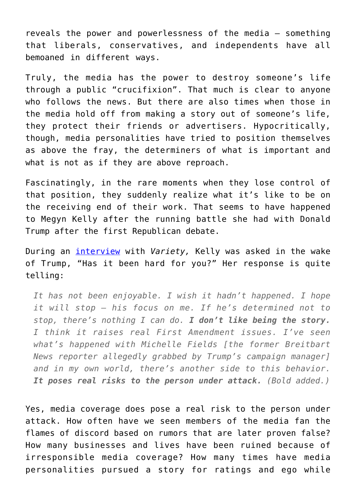reveals the power and powerlessness of the media – something that liberals, conservatives, and independents have all bemoaned in different ways.

Truly, the media has the power to destroy someone's life through a public "crucifixion". That much is clear to anyone who follows the news. But there are also times when those in the media hold off from making a story out of someone's life, they protect their friends or advertisers. Hypocritically, though, media personalities have tried to position themselves as above the fray, the determiners of what is important and what is not as if they are above reproach.

Fascinatingly, in the rare moments when they lose control of that position, they suddenly realize what it's like to be on the receiving end of their work. That seems to have happened to Megyn Kelly after the running battle she had with Donald Trump after the first Republican debate.

During an [interview](http://variety.com/2016/tv/news/megyn-kelly-donald-trump-fox-news-1201744872/) with *Variety,* Kelly was asked in the wake of Trump, "Has it been hard for you?" Her response is quite telling:

*It has not been enjoyable. I wish it hadn't happened. I hope it will stop — his focus on me. If he's determined not to stop, there's nothing I can do. I don't like being the story. I think it raises real First Amendment issues. I've seen what's happened with Michelle Fields [the former Breitbart News reporter allegedly grabbed by Trump's campaign manager] and in my own world, there's another side to this behavior. It poses real risks to the person under attack. (Bold added.)*

Yes, media coverage does pose a real risk to the person under attack. How often have we seen members of the media fan the flames of discord based on rumors that are later proven false? How many businesses and lives have been ruined because of irresponsible media coverage? How many times have media personalities pursued a story for ratings and ego while